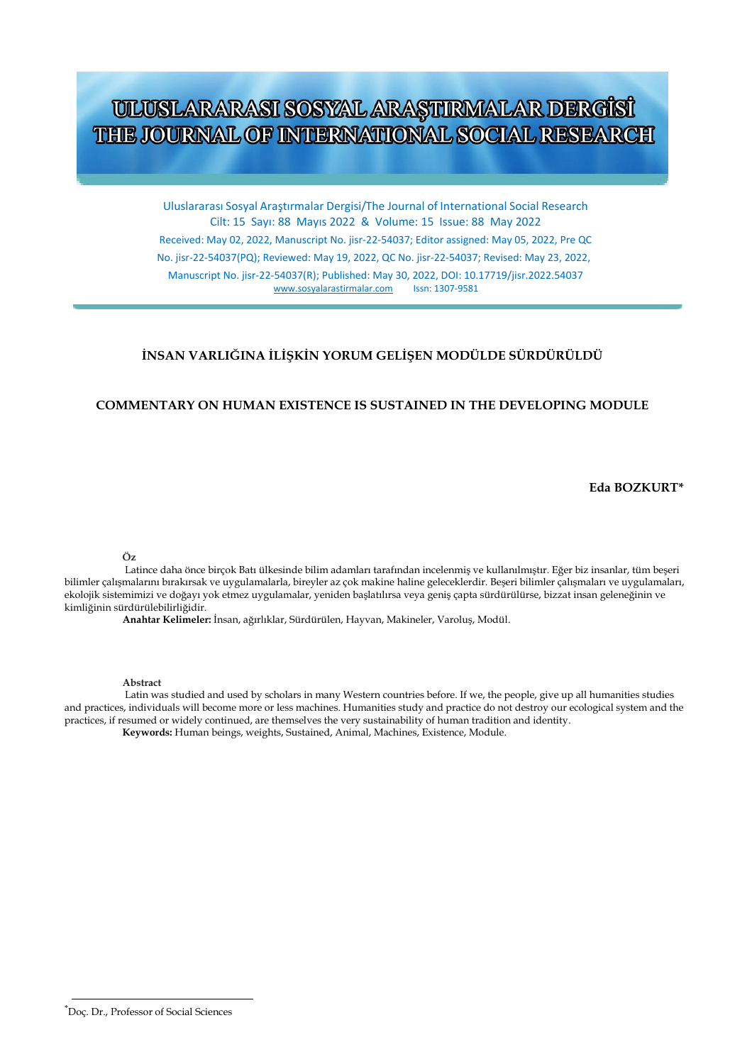# ULUSLARARASI SOSYAL ARAŞTIRMALAR DERGİSİ THE JOURNAL OF INTERNATIONAL SOCIAL RESEARCH

Uluslararası Sosyal Araştırmalar Dergisi/The Journal of International Social Research Cilt: 15 Sayı: 88 Mayıs 2022 & Volume: 15 Issue: 88 May 2022

Received: May 02, 2022, Manuscript No. jisr-22-54037; Editor assigned: May 05, 2022, Pre QC No. jisr-22-54037(PQ); Reviewed: May 19, 2022, QC No. jisr-22-54037; Revised: May 23, 2022, Manuscript No. jisr-22-54037(R); Published: May 30, 2022, DOI: 10.17719/jisr.2022.54037 [www.sosyalarastirmalar.com](http://www.sosyalarastirmalar.com/)

## **İNSAN VARLIĞINA İLİŞKİN YORUM GELİŞEN MODÜLDE SÜRDÜRÜLDÜ**

## **COMMENTARY ON HUMAN EXISTENCE IS SUSTAINED IN THE DEVELOPING MODULE**

 **Eda BOZKURT\***

**Öz**

Latince daha önce birçok Batı ülkesinde bilim adamları tarafından incelenmiş ve kullanılmıştır. Eğer biz insanlar, tüm beşeri bilimler çalışmalarını bırakırsak ve uygulamalarla, bireyler az çok makine haline geleceklerdir. Beşeri bilimler çalışmaları ve uygulamaları, ekolojik sistemimizi ve doğayı yok etmez uygulamalar, yeniden başlatılırsa veya geniş çapta sürdürülürse, bizzat insan geleneğinin ve kimliğinin sürdürülebilirliğidir.

**Anahtar Kelimeler:** İnsan, ağırlıklar, Sürdürülen, Hayvan, Makineler, Varoluş, Modül.

#### **Abstract**

Latin was studied and used by scholars in many Western countries before. If we, the people, give up all humanities studies and practices, individuals will become more or less machines. Humanities study and practice do not destroy our ecological system and the practices, if resumed or widely continued, are themselves the very sustainability of human tradition and identity. **Keywords:** Human beings, weights, Sustained, Animal, Machines, Existence, Module.

<sup>\*</sup>Doç. Dr., Professor of Social Sciences